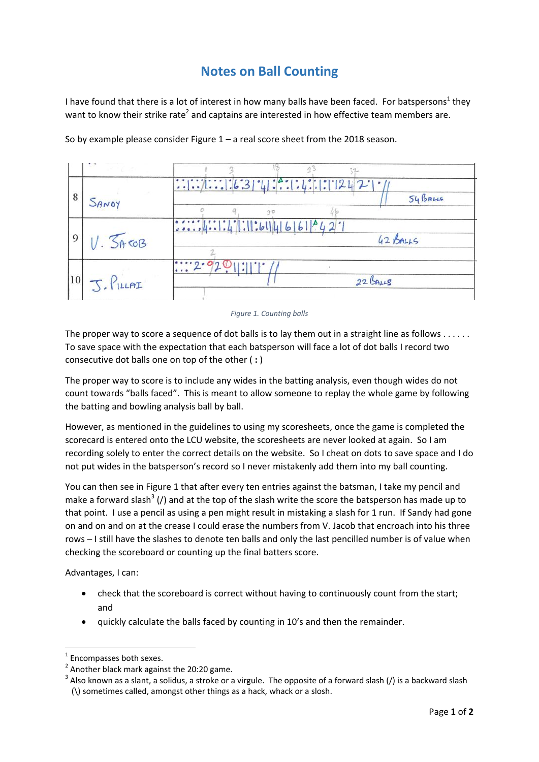## **Notes on Ball Counting**

I have found that there is a lot of interest in how many balls have been faced. For batspersons<sup>1</sup> they want to know their strike rate<sup>2</sup> and captains are interested in how effective team members are.

|          | SANDY     | 54B <sub>RLIS</sub>                                                         |
|----------|-----------|-----------------------------------------------------------------------------|
| $\Omega$ | V. 5760B  | $: \dots   4 : \dots   4   \dots   6   4   6   6   4   2   1$<br>$42$ BALLS |
| 10       | J. PILLAI | 22 BALLS                                                                    |

So by example please consider Figure  $1 - a$  real score sheet from the 2018 season.

<span id="page-0-0"></span>The proper way to score a sequence of dot balls is to lay them out in a straight line as follows . . . . . . To save space with the expectation that each batsperson will face a lot of dot balls I record two consecutive dot balls one on top of the other ( **:** )

The proper way to score is to include any wides in the batting analysis, even though wides do not count towards "balls faced". This is meant to allow someone to replay the whole game by following the batting and bowling analysis ball by ball.

However, as mentioned in the guidelines to using my scoresheets, once the game is completed the scorecard is entered onto the LCU website, the scoresheets are never looked at again. So I am recording solely to enter the correct details on the website. So I cheat on dots to save space and I do not put wides in the batsperson's record so I never mistakenly add them into my ball counting.

You can then see in [Figure 1](#page-0-0) that after every ten entries against the batsman, I take my pencil and make a forward slash<sup>3</sup> (/) and at the top of the slash write the score the batsperson has made up to that point. I use a pencil as using a pen might result in mistaking a slash for 1 run. If Sandy had gone on and on and on at the crease I could erase the numbers from V. Jacob that encroach into his three rows – I still have the slashes to denote ten balls and only the last pencilled number is of value when checking the scoreboard or counting up the final batters score.

Advantages, I can:

1

- check that the scoreboard is correct without having to continuously count from the start; and
- quickly calculate the balls faced by counting in 10's and then the remainder.

*Figure 1. Counting balls*

<sup>1</sup> Encompasses both sexes.

 $2$  Another black mark against the 20:20 game.

 $3$  Also known as a slant, a solidus, a stroke or a virgule. The opposite of a forward slash (/) is a backward slash (\) sometimes called, amongst other things as a hack, whack or a slosh.